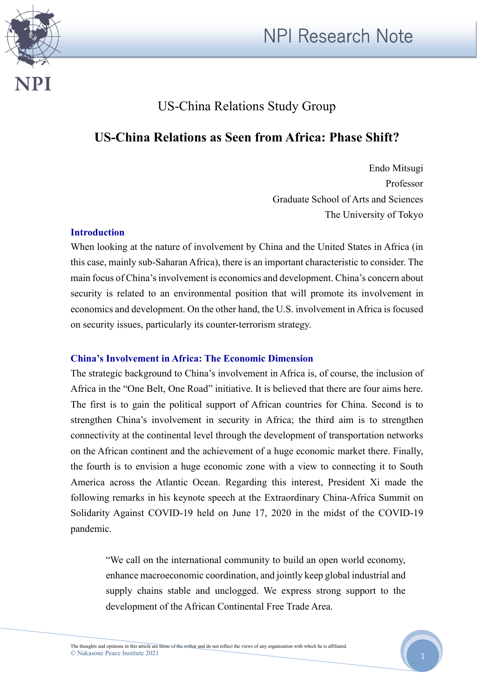



# US-China Relations Study Group

## **US-China Relations as Seen from Africa: Phase Shift?**

Endo Mitsugi Professor Graduate School of Arts and Sciences The University of Tokyo

#### **Introduction**

When looking at the nature of involvement by China and the United States in Africa (in this case, mainly sub-Saharan Africa), there is an important characteristic to consider. The main focus of China's involvement is economics and development. China's concern about security is related to an environmental position that will promote its involvement in economics and development. On the other hand, the U.S. involvement in Africa is focused on security issues, particularly its counter-terrorism strategy.

## **China's Involvement in Africa: The Economic Dimension**

The strategic background to China's involvement in Africa is, of course, the inclusion of Africa in the "One Belt, One Road" initiative. It is believed that there are four aims here. The first is to gain the political support of African countries for China. Second is to strengthen China's involvement in security in Africa; the third aim is to strengthen connectivity at the continental level through the development of transportation networks on the African continent and the achievement of a huge economic market there. Finally, the fourth is to envision a huge economic zone with a view to connecting it to South America across the Atlantic Ocean. Regarding this interest, President Xi made the following remarks in his keynote speech at the Extraordinary China-Africa Summit on Solidarity Against COVID-19 held on June 17, 2020 in the midst of the COVID-19 pandemic.

"We call on the international community to build an open world economy, enhance macroeconomic coordination, and jointly keep global industrial and supply chains stable and unclogged. We express strong support to the development of the African Continental Free Trade Area.

The thoughts and opinions in this article are those of the author and do not reflect the views of any organization with which he is affiliated. © Nakasone Peace Institute 2021

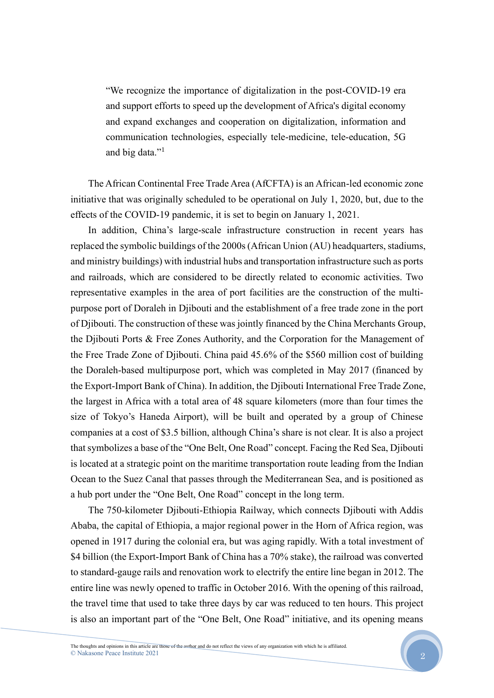"We recognize the importance of digitalization in the post-COVID-19 era and support efforts to speed up the development of Africa's digital economy and expand exchanges and cooperation on digitalization, information and communication technologies, especially tele-medicine, tele-education, 5G and big data."<sup>1</sup>

The African Continental Free Trade Area (AfCFTA) is an African-led economic zone initiative that was originally scheduled to be operational on July 1, 2020, but, due to the effects of the COVID-19 pandemic, it is set to begin on January 1, 2021.

In addition, China's large-scale infrastructure construction in recent years has replaced the symbolic buildings of the 2000s (African Union (AU) headquarters, stadiums, and ministry buildings) with industrial hubs and transportation infrastructure such as ports and railroads, which are considered to be directly related to economic activities. Two representative examples in the area of port facilities are the construction of the multipurpose port of Doraleh in Djibouti and the establishment of a free trade zone in the port of Djibouti. The construction of these was jointly financed by the China Merchants Group, the Djibouti Ports & Free Zones Authority, and the Corporation for the Management of the Free Trade Zone of Djibouti. China paid 45.6% of the \$560 million cost of building the Doraleh-based multipurpose port, which was completed in May 2017 (financed by the Export-Import Bank of China). In addition, the Djibouti International Free Trade Zone, the largest in Africa with a total area of 48 square kilometers (more than four times the size of Tokyo's Haneda Airport), will be built and operated by a group of Chinese companies at a cost of \$3.5 billion, although China's share is not clear. It is also a project that symbolizes a base of the "One Belt, One Road" concept. Facing the Red Sea, Djibouti is located at a strategic point on the maritime transportation route leading from the Indian Ocean to the Suez Canal that passes through the Mediterranean Sea, and is positioned as a hub port under the "One Belt, One Road" concept in the long term.

The 750-kilometer Djibouti-Ethiopia Railway, which connects Djibouti with Addis Ababa, the capital of Ethiopia, a major regional power in the Horn of Africa region, was opened in 1917 during the colonial era, but was aging rapidly. With a total investment of \$4 billion (the Export-Import Bank of China has a 70% stake), the railroad was converted to standard-gauge rails and renovation work to electrify the entire line began in 2012. The entire line was newly opened to traffic in October 2016. With the opening of this railroad, the travel time that used to take three days by car was reduced to ten hours. This project is also an important part of the "One Belt, One Road" initiative, and its opening means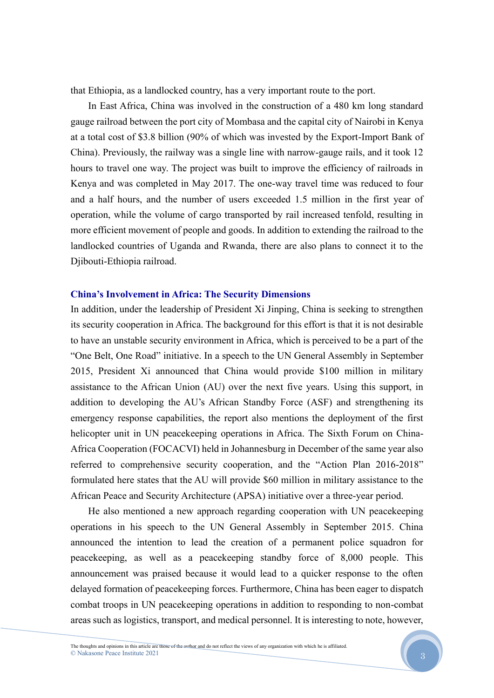that Ethiopia, as a landlocked country, has a very important route to the port.

In East Africa, China was involved in the construction of a 480 km long standard gauge railroad between the port city of Mombasa and the capital city of Nairobi in Kenya at a total cost of \$3.8 billion (90% of which was invested by the Export-Import Bank of China). Previously, the railway was a single line with narrow-gauge rails, and it took 12 hours to travel one way. The project was built to improve the efficiency of railroads in Kenya and was completed in May 2017. The one-way travel time was reduced to four and a half hours, and the number of users exceeded 1.5 million in the first year of operation, while the volume of cargo transported by rail increased tenfold, resulting in more efficient movement of people and goods. In addition to extending the railroad to the landlocked countries of Uganda and Rwanda, there are also plans to connect it to the Djibouti-Ethiopia railroad.

#### **China's Involvement in Africa: The Security Dimensions**

In addition, under the leadership of President Xi Jinping, China is seeking to strengthen its security cooperation in Africa. The background for this effort is that it is not desirable to have an unstable security environment in Africa, which is perceived to be a part of the "One Belt, One Road" initiative. In a speech to the UN General Assembly in September 2015, President Xi announced that China would provide \$100 million in military assistance to the African Union (AU) over the next five years. Using this support, in addition to developing the AU's African Standby Force (ASF) and strengthening its emergency response capabilities, the report also mentions the deployment of the first helicopter unit in UN peacekeeping operations in Africa. The Sixth Forum on China-Africa Cooperation (FOCACVI) held in Johannesburg in December of the same year also referred to comprehensive security cooperation, and the "Action Plan 2016-2018" formulated here states that the AU will provide \$60 million in military assistance to the African Peace and Security Architecture (APSA) initiative over a three-year period.

He also mentioned a new approach regarding cooperation with UN peacekeeping operations in his speech to the UN General Assembly in September 2015. China announced the intention to lead the creation of a permanent police squadron for peacekeeping, as well as a peacekeeping standby force of 8,000 people. This announcement was praised because it would lead to a quicker response to the often delayed formation of peacekeeping forces. Furthermore, China has been eager to dispatch combat troops in UN peacekeeping operations in addition to responding to non-combat areas such as logistics, transport, and medical personnel. It is interesting to note, however,

3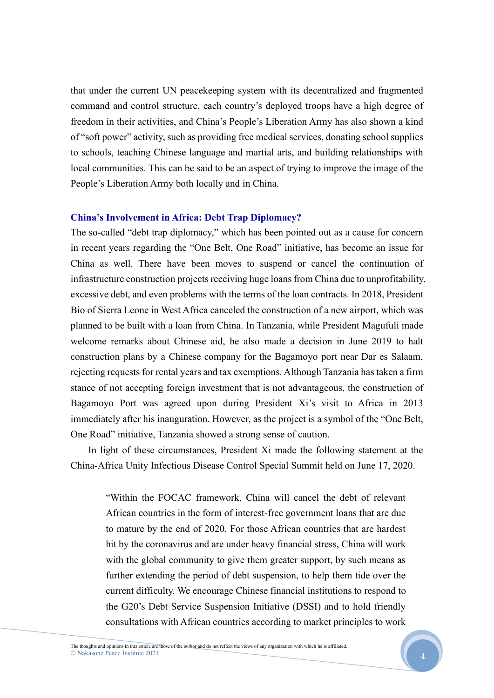that under the current UN peacekeeping system with its decentralized and fragmented command and control structure, each country's deployed troops have a high degree of freedom in their activities, and China's People's Liberation Army has also shown a kind of "soft power" activity, such as providing free medical services, donating school supplies to schools, teaching Chinese language and martial arts, and building relationships with local communities. This can be said to be an aspect of trying to improve the image of the People's Liberation Army both locally and in China.

#### **China's Involvement in Africa: Debt Trap Diplomacy?**

The so-called "debt trap diplomacy," which has been pointed out as a cause for concern in recent years regarding the "One Belt, One Road" initiative, has become an issue for China as well. There have been moves to suspend or cancel the continuation of infrastructure construction projects receiving huge loans from China due to unprofitability, excessive debt, and even problems with the terms of the loan contracts. In 2018, President Bio of Sierra Leone in West Africa canceled the construction of a new airport, which was planned to be built with a loan from China. In Tanzania, while President Magufuli made welcome remarks about Chinese aid, he also made a decision in June 2019 to halt construction plans by a Chinese company for the Bagamoyo port near Dar es Salaam, rejecting requests for rental years and tax exemptions. Although Tanzania has taken a firm stance of not accepting foreign investment that is not advantageous, the construction of Bagamoyo Port was agreed upon during President Xi's visit to Africa in 2013 immediately after his inauguration. However, as the project is a symbol of the "One Belt, One Road" initiative, Tanzania showed a strong sense of caution.

In light of these circumstances, President Xi made the following statement at the China-Africa Unity Infectious Disease Control Special Summit held on June 17, 2020.

"Within the FOCAC framework, China will cancel the debt of relevant African countries in the form of interest-free government loans that are due to mature by the end of 2020. For those African countries that are hardest hit by the coronavirus and are under heavy financial stress, China will work with the global community to give them greater support, by such means as further extending the period of debt suspension, to help them tide over the current difficulty. We encourage Chinese financial institutions to respond to the G20's Debt Service Suspension Initiative (DSSI) and to hold friendly consultations with African countries according to market principles to work

4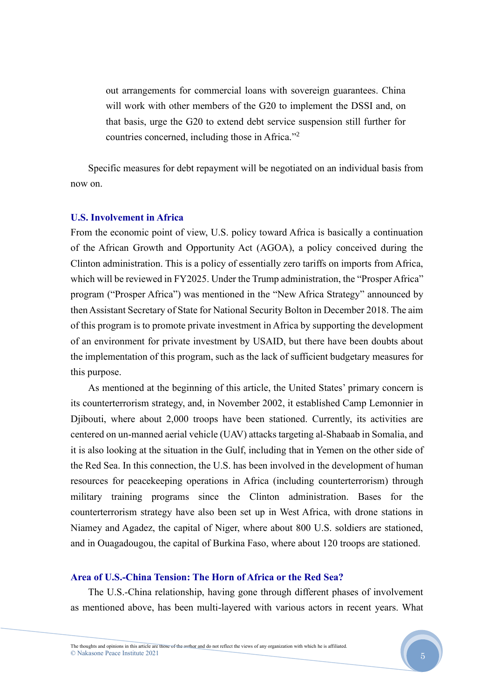out arrangements for commercial loans with sovereign guarantees. China will work with other members of the G20 to implement the DSSI and, on that basis, urge the G20 to extend debt service suspension still further for countries concerned, including those in Africa."<sup>2</sup>

Specific measures for debt repayment will be negotiated on an individual basis from now on.

#### **U.S. Involvement in Africa**

From the economic point of view, U.S. policy toward Africa is basically a continuation of the African Growth and Opportunity Act (AGOA), a policy conceived during the Clinton administration. This is a policy of essentially zero tariffs on imports from Africa, which will be reviewed in FY2025. Under the Trump administration, the "Prosper Africa" program ("Prosper Africa") was mentioned in the "New Africa Strategy" announced by then Assistant Secretary of State for National Security Bolton in December 2018. The aim of this program is to promote private investment in Africa by supporting the development of an environment for private investment by USAID, but there have been doubts about the implementation of this program, such as the lack of sufficient budgetary measures for this purpose.

As mentioned at the beginning of this article, the United States' primary concern is its counterterrorism strategy, and, in November 2002, it established Camp Lemonnier in Djibouti, where about 2,000 troops have been stationed. Currently, its activities are centered on un-manned aerial vehicle (UAV) attacks targeting al-Shabaab in Somalia, and it is also looking at the situation in the Gulf, including that in Yemen on the other side of the Red Sea. In this connection, the U.S. has been involved in the development of human resources for peacekeeping operations in Africa (including counterterrorism) through military training programs since the Clinton administration. Bases for the counterterrorism strategy have also been set up in West Africa, with drone stations in Niamey and Agadez, the capital of Niger, where about 800 U.S. soldiers are stationed, and in Ouagadougou, the capital of Burkina Faso, where about 120 troops are stationed.

### **Area of U.S.-China Tension: The Horn of Africa or the Red Sea?**

The U.S.-China relationship, having gone through different phases of involvement as mentioned above, has been multi-layered with various actors in recent years. What

The thoughts and opinions in this article are those of the author and do not reflect the views of any organization with which he is affiliated. © Nakasone Peace Institute 2021